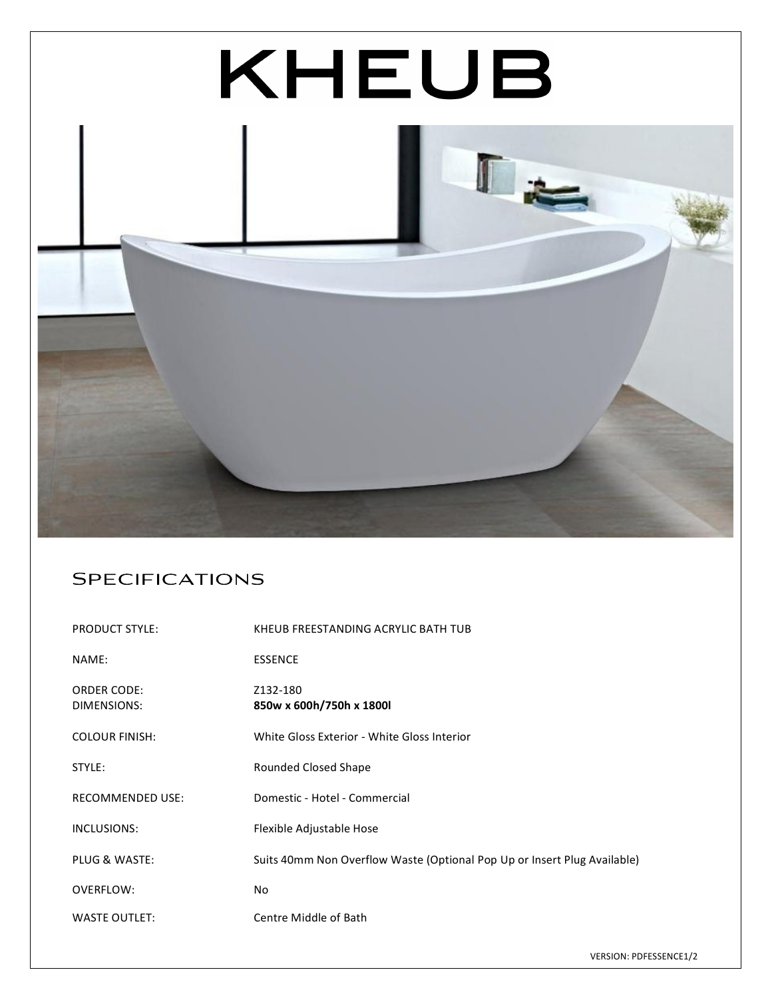

## Specifications

| <b>PRODUCT STYLE:</b>             | KHEUB FREESTANDING ACRYLIC BATH TUB                                      |
|-----------------------------------|--------------------------------------------------------------------------|
| NAME:                             | <b>ESSENCE</b>                                                           |
| <b>ORDER CODE:</b><br>DIMENSIONS: | Z132-180<br>850w x 600h/750h x 1800l                                     |
| <b>COLOUR FINISH:</b>             | White Gloss Exterior - White Gloss Interior                              |
| STYLE:                            | Rounded Closed Shape                                                     |
| <b>RECOMMENDED USE:</b>           | Domestic - Hotel - Commercial                                            |
| INCLUSIONS:                       | Flexible Adjustable Hose                                                 |
| PLUG & WASTE:                     | Suits 40mm Non Overflow Waste (Optional Pop Up or Insert Plug Available) |
| OVERFLOW:                         | No                                                                       |
| <b>WASTE OUTLET:</b>              | Centre Middle of Bath                                                    |